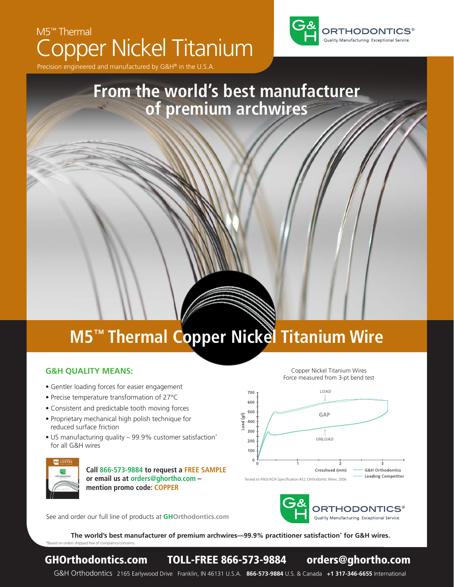# M5™ Thermal Copper Nickel Titanium



Precision engineered and manufactured by  $G\&H^{\otimes}$  in the U.S.

### **From the world's best manufacturer of premium archwires**

# **M5™ Thermal Copper Nickel Titanium Wire**

#### **G&H QUALITY MEANS:**

- Gentler loading forces for easier engagement
- Precise temperature transformation of 27°C
- Consistent and predictable tooth moving forces
- Proprietary mechanical high polish technique for reduced surface friction
- US manufacturing quality 99.9% customer satisfaction\* for all G&H wires



**Call 866-573-9884 to request a FREE SAMPLE or email us at orders@ghortho.com – mention promo code: COPPER**



Copper Nickel Titanium Wires



See and order our full line of products at **GHOrthodontics.com**

**The world's best manufacturer of premium archwires—99.9% practitioner satisfaction\* for G&H wires.** \*Based on orders shipped free of complaints/concerns.

#### GHOrthodontics.com TOLL-FREE 866-573-9884 orders@ghortho.com

G&H Orthodontics 2165 Earlywood Drive Franklin, IN 46131 U.S.A. **866-573-9884** U.S. & Canada **+1 317-346-6655** International